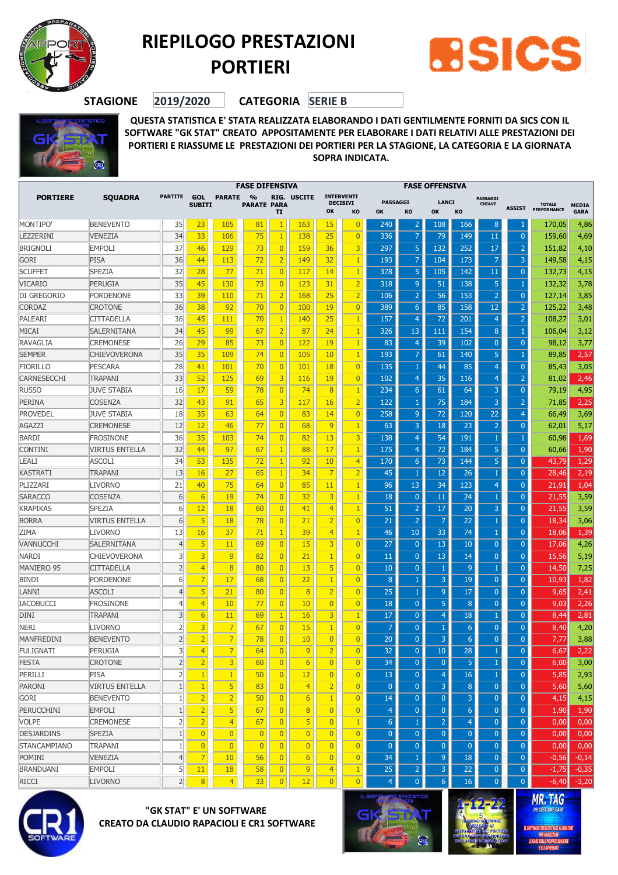

## **RIEPILOGO PRESTAZIONI PORTIERI**



**STAGIONE 2019/2020 CATEGORIA SERIE B**



**QUESTA STATISTICA E' STATA REALIZZATA ELABORANDO I DATI GENTILMENTE FORNITI DA SICS CON IL SOFTWARE "GK STAT" CREATO APPOSITAMENTE PER ELABORARE I DATI RELATIVI ALLE PRESTAZIONI DEI PORTIERI E RIASSUME LE PRESTAZIONI DEI PORTIERI PER LA STAGIONE, LA CATEGORIA E LA GIORNATA SOPRA INDICATA.**

|                        | <b>SQUADRA</b>        |                     |                             | FASE DIFENSIVA              |                                     |                |                |                                  |                                            | <b>FASE OFFENSIVA</b> |                                |                     |                 |                                  |                     |                              |                             |
|------------------------|-----------------------|---------------------|-----------------------------|-----------------------------|-------------------------------------|----------------|----------------|----------------------------------|--------------------------------------------|-----------------------|--------------------------------|---------------------|-----------------|----------------------------------|---------------------|------------------------------|-----------------------------|
| <b>PORTIERE</b>        |                       | <b>PARTITE</b>      | <b>GOL</b><br><b>SUBITI</b> | <b>PARATE</b>               | $\frac{9}{6}$<br><b>PARATE PARA</b> | п              | RIG. USCITE    | OK                               | <b>INTERVENTI</b><br><b>DECISIVI</b><br>KO | <b>PASSAGGI</b><br>OK | KO                             | <b>LANCI</b><br>OK  | KO              | <b>PASSAGGI</b><br><b>CHIAVE</b> | <b>ASSIST</b>       | <b>TOTALE</b><br>PERFORMANCE | <b>MEDIA</b><br><b>GARA</b> |
| MONTIPO'               | <b>BENEVENTO</b>      | 35                  | 23                          | 105                         | 81                                  |                | 163            | 15                               | $\overline{0}$                             | 240                   |                                | 108                 | 166             | 8                                |                     | 170,05                       | 4,86                        |
| LEZZERINI              | <b>VENEZIA</b>        | 34                  | 33                          | 106                         | 75                                  | $\mathbf{1}$   | 138            | 25                               | $\overline{0}$                             | 336                   |                                | 79                  | 149             | 11                               | $\overline{0}$      | 159,60                       | 4,69                        |
| <b>BRIGNOLI</b>        | <b>EMPOLI</b>         | 37                  | 46                          | 129                         | 73                                  | $\overline{0}$ | 159            | 36                               | 3                                          | 297                   | 5                              | 132                 | 252             | 17                               | $\overline{2}$      | 151,82                       | 4,10                        |
| GORI                   | PISA                  | 36                  | 44                          | 113                         | 72                                  | $\overline{2}$ | 149            | 32                               | $\mathbf{1}$                               | 193                   |                                | 104                 | 173             |                                  | 3                   | 149,58                       | 4,15                        |
| <b>SCUFFET</b>         | <b>SPEZIA</b>         | 32                  | 28                          | 77                          | 71                                  | $\overline{0}$ | 117            | 14                               | 1                                          | 378                   | 5                              | 105                 | 142             | 11                               | $\overline{0}$      | 132,73                       | 4,15                        |
| VICARIO                | PERUGIA               | 35                  | 45                          | 130                         | 73                                  | $\overline{0}$ | 123            | 31                               | $\overline{2}$                             | 318                   | 9                              | 51                  | 138             | 5                                | 1                   | 132,32                       | 3,78                        |
| DI GREGORIO            | <b>PORDENONE</b>      | 33                  | 39                          | 110                         | 71                                  | $\overline{2}$ | 168            | 25                               | $\overline{2}$                             | 106                   |                                | 56                  | 153             | $\overline{2}$                   | $\mathbf 0$         | 127,14                       | 3,85                        |
| <b>CORDAZ</b>          | <b>CROTONE</b>        | 36                  | 38                          | 92                          | 70                                  | $\overline{0}$ | 100            | 19                               | $\overline{0}$                             | 389                   | 6                              | 85                  | 158             | 12                               | $\overline{c}$      | 125,22                       | 3,48                        |
| PALEARI                | <b>CITTADELLA</b>     | 36                  | 45                          | 111                         | 70                                  | $\mathbf{1}$   | 140            | 25                               | 1                                          | 157                   | 4                              | 72                  | 201             | $\overline{4}$                   | $\overline{2}$      | 108,27                       | 3,01                        |
| MICAI                  | <b>SALERNITANA</b>    | 34                  | 45                          | 99                          | 67                                  | $\overline{2}$ | 87             | 24                               | $\mathbf{1}$                               | 326                   | 13                             | 111                 | 154             | 8                                | -1                  | 106,04                       | 3,12                        |
| RAVAGLIA               | <b>CREMONESE</b>      | 26                  | 29                          | 85                          | 73                                  | $\overline{0}$ | 122            | 19                               | 1                                          | 83                    | $\overline{4}$                 | 39                  | 102             | $\overline{0}$                   | $\mathbf 0$         | 98,12                        | 3,77                        |
| <b>SEMPER</b>          | <b>CHIEVOVERONA</b>   | 35                  | 35                          | 109                         | 74                                  | $\overline{0}$ | 105            | 10                               | 1                                          | 193                   |                                | 61                  | 140             | 5                                |                     | 89,85                        | 2,57                        |
| <b>FIORILLO</b>        | <b>PESCARA</b>        | 28                  | 41                          | 101                         | 70                                  | $\overline{0}$ | 101            | <b>18</b>                        | $\overline{0}$                             | 135                   |                                | 44                  | 85              | 4                                | $\overline{0}$      | 85,43                        | 3,05                        |
| CARNESECCHI            | <b>TRAPANI</b>        | 33                  | 52                          | 125                         | 69                                  | 3              | 116            | 19                               | $\overline{0}$                             | 102                   | 4                              | 35                  | 116             | $\overline{4}$                   | $\overline{2}$      | 81,02                        | 2,46                        |
| <b>RUSSO</b>           | <b>JUVE STABIA</b>    | 16                  | 17                          | 59                          | 78                                  | $\overline{0}$ | 74             | 8                                | 1                                          | 234                   | 6                              | 61                  | 64              | 3                                | $\mathbf 0$         | 79,19                        | 4,95                        |
| PERINA                 | <b>COSENZA</b>        | 32                  | 43                          | 91                          | 65                                  | 3              | 117            | 16                               | $\overline{2}$                             | 122                   |                                | 75                  | 184             | 3                                | $\overline{2}$      | 71,85                        | 2,25                        |
| <b>PROVEDEL</b>        | <b>JUVE STABIA</b>    | 18                  | 35                          | 63                          | 64                                  | $\overline{0}$ | 83             | 14                               | $\overline{0}$                             | 258                   | 9                              | 72                  | 120             | 22                               | $\overline{4}$      | 66,49                        | 3,69                        |
| AGAZZI                 | <b>CREMONESE</b>      | 12                  | 12                          | 46                          | 77                                  | $\overline{0}$ | 68             | 9                                | 1                                          | 63                    | З                              | 18                  | 23              | $\overline{2}$                   | $\mathbf 0$         | 62,01                        | 5,17                        |
| BARDI                  | <b>FROSINONE</b>      | 36                  | 35                          | 103                         | 74                                  | $\overline{0}$ | 82             | 13                               | 3                                          | 138                   | 4                              | 54                  | 191             |                                  | 1                   | 60,98                        | 1,69                        |
| <b>CONTINI</b>         | <b>VIRTUS ENTELLA</b> | 32                  | 44                          | 97                          | 67                                  | $\mathbf{1}$   | 88             | 17                               | 1                                          | 175                   | 4                              | 72                  | 184             | 5                                | $\overline{0}$      | 60,66                        | 1,90                        |
| .EALI                  | <b>ASCOLI</b>         | 34                  | 53                          | 135                         | 72                                  | $\mathbf{1}$   | 92             | 10                               | $\overline{4}$                             | 170                   | 6                              | 73                  | 144             | 5                                | $\overline{0}$      | 43,79                        | 1,29                        |
| KASTRATI               | <b>TRAPANI</b>        | 13                  | 16                          | 27                          | 65                                  | $\mathbf{1}$   | 34             | $\overline{7}$                   | $\overline{2}$                             | 45                    |                                | 12                  | 26              |                                  | $\overline{0}$      | 28,46                        | 2,19                        |
| PLIZZARI               | <b>LIVORNO</b>        | 21                  | 40                          | 75                          | 64                                  | $\overline{0}$ | 85             | 11                               | 1                                          | 96                    | 13                             | 34                  | 123             | 4                                | $\overline{0}$      | 21,91                        | 1,04                        |
| SARACCO                | <b>COSENZA</b>        | 6                   | 6                           | 19                          | 74                                  | $\overline{0}$ | 32             | 3                                | 1                                          | 18                    | $\mathbf{0}$                   | 11                  | 24              |                                  | $\overline{0}$      | 21,55                        | 3,59                        |
| KRAPIKAS               | <b>SPEZIA</b>         | 6                   | 12                          | 18                          | 60                                  | $\overline{0}$ | 41             | $\overline{4}$                   | 1                                          | 51                    | 2                              | 17                  | 20              | 3                                | $\overline{0}$      | 21,55                        | 3,59                        |
| Borra                  | <b>VIRTUS ENTELLA</b> | 6                   | 5                           | 18                          | 78                                  | $\overline{0}$ | 21             | $\overline{2}$                   | $\overline{0}$                             | 21                    |                                | 7                   | 22              |                                  | $\overline{0}$      | 18,34                        | 3,06                        |
| ZIMA                   | <b>LIVORNO</b>        | 13                  | 16                          | 37                          | 71                                  | $\mathbf{1}$   | 39             | $\overline{4}$                   | 1                                          | 46                    | 10                             | 33                  | 74              |                                  | $\mathbf 0$         | 18,06                        | 1,39                        |
| VANNUCCHI              | <b>SALERNITANA</b>    | $\overline{4}$      | 5                           | 11                          | 69                                  | $\overline{0}$ | 15             | 3                                | $\overline{0}$                             | 27                    | $\overline{0}$                 | 13                  | 10              | $\overline{0}$                   | $\overline{0}$      | 17,06                        | 4,26                        |
| NARDI                  | <b>CHIEVOVERONA</b>   | 3                   | 3                           | 9                           | 82                                  | $\overline{0}$ | 21             | $\mathbf{1}$                     | $\overline{0}$                             | 11                    | $\mathbf{0}$                   | 13                  | 14              | $\overline{0}$                   | $\overline{0}$      | 15,56                        | 5,19                        |
| <b>MANIERO 95</b>      | <b>CITTADELLA</b>     | $\overline{2}$      | $\overline{4}$              | 8                           | 80                                  | $\overline{0}$ | 13             | 5                                | $\overline{0}$                             | 10                    | $\mathbf{0}$                   | 1                   | $\overline{9}$  |                                  | $\overline{0}$      | 14,50                        | 7,25                        |
| BINDI                  | <b>PORDENONE</b>      | 6                   | 7                           | 17                          | 68                                  | $\overline{0}$ | 22             | $\mathbf{1}$                     | $\overline{0}$                             | 8                     |                                | 3                   | 19              | $\overline{0}$                   | $\overline{0}$      | 10,93                        | 1,82                        |
| LANNI                  | <b>ASCOLI</b>         | 4                   | 5                           | 21                          | 80                                  | $\overline{0}$ | 8              | $\overline{2}$                   | $\overline{0}$                             | 25                    |                                | 9                   | 17              | $\overline{0}$                   | $\overline{0}$      | 9,65                         | 2,41                        |
| IACOBUCCI              | <b>FROSINONE</b>      | 4                   | $\overline{4}$              | 10                          | 77                                  | $\overline{0}$ | 10             | $\overline{0}$                   | $\overline{0}$                             | 18                    | $\Omega$                       | 5                   | 8               | $\overline{0}$                   | $\overline{0}$      | 9,03                         | 2,26                        |
| DINI                   | TRAPANI               | 3                   | 6                           | 11                          | 69                                  | $\mathbf{1}$   | 16             | 3                                | 1                                          | 17                    | $\Omega$                       | 4                   | 18              |                                  | $\overline{0}$      | 8,44                         | 2,81                        |
| NERI                   | LIVORNO               | $\overline{2}$      | 3                           | 7                           | 67                                  | $\overline{0}$ | 15             | $\mathbf{1}$                     | $\overline{0}$                             | 7                     | $\Omega$                       |                     | $6\phantom{1}6$ | $\overline{0}$                   | $\overline{0}$      | 8,40                         | 4,20                        |
| MANFREDINI             | <b>BENEVENTO</b>      | $\overline{2}$      | $\overline{2}$              | 7                           | 78                                  | $\overline{0}$ | 10             | $\overline{0}$                   | $\overline{0}$                             | 20                    | $\mathbf{0}$                   | 3                   | $6\phantom{1}6$ | $\overline{0}$                   | $\overline{0}$      | 7,77                         | 3,88                        |
| <b>FULIGNATI</b>       | PERUGIA               | 3                   | $\overline{4}$              |                             | 64                                  | $\overline{0}$ | 9              | $\mathbf{z}$                     | $\overline{0}$                             | 32                    | $\mathbf{0}$                   | 10                  | 28              |                                  | υ                   | 6,67                         | 2,22                        |
| FESTA                  | <b>CROTONE</b>        | $\overline{2}$      | $\overline{2}$              | $\overline{3}$              | 60                                  | $\overline{0}$ | 6              | $\overline{0}$                   | $\overline{0}$                             | 34                    | $\overline{0}$                 | $\overline{0}$      | 5               |                                  | $\overline{0}$      | 6,00                         | 3,00                        |
| PERILLI                | <b>PISA</b>           | $\overline{2}$      | $\mathbf{1}$                | $\mathbf{1}$                | 50                                  | $\overline{0}$ | 12             | $\overline{0}$                   | $\overline{0}$                             | 13                    | $\overline{0}$                 | $\overline{4}$      | 16              | $\mathbf{1}$                     | $\overline{0}$      | 5,85                         | 2,93                        |
| PARONI                 | <b>VIRTUS ENTELLA</b> | $\mathbf{1}$        | $\mathbf{1}$                | 5                           | 83                                  | 0              | $\overline{4}$ | $\overline{2}$                   | $\overline{0}$                             | $\mathbf{0}$          | $\mathbf{0}$                   | 3                   | 8               | $\mathbf{0}$                     | $\overline{0}$      | 5,60                         | 5,60                        |
| GORI                   | <b>BENEVENTO</b>      | $\mathbf{1}$        | $\overline{2}$              | $\overline{2}$              | 50                                  | 0              | 6              | $\mathbf{1}$                     | $\overline{0}$                             | 14                    | $\mathbf{0}$                   | $\mathbf{0}$        | 3               | $\mathbf{0}$                     | $\theta$            | 4,15                         | 4,15                        |
| PERUCCHINI             | <b>EMPOLI</b>         | $\mathbf{1}$        | $\overline{2}$              | 5                           | 67                                  | $\overline{0}$ | 8              | $\overline{0}$                   | $\overline{0}$                             | $\overline{4}$        | $\mathbf{0}$                   | $\mathbf{0}$        | 6               | $\mathbf{0}$                     | $\overline{0}$      | 1,90                         | 1,90                        |
| VOLPE                  | <b>CREMONESE</b>      | $\overline{2}$      | $\overline{2}$              | $\overline{4}$              | 67                                  | $\overline{0}$ | 5              | $\overline{0}$                   | 1                                          | 6                     |                                | $\overline{2}$      | $\overline{4}$  | $\overline{0}$                   | $\overline{0}$      | 0,00                         | 0,00                        |
| <b>DESJARDINS</b>      | <b>SPEZIA</b>         | $\mathbf{1}$        | $\overline{0}$              | $\overline{0}$              | $\overline{0}$                      | $\overline{0}$ | $\overline{0}$ | $\overline{0}$                   | $\overline{0}$                             | $\overline{0}$        | $\overline{0}$                 | $\overline{0}$      | $\mathbf{0}$    | $\overline{0}$                   | $\overline{0}$      | 0,00                         | 0,00                        |
|                        | <b>TRAPANI</b>        | $\mathbf{1}$        | $\overline{0}$              | $\overline{0}$              | $\overline{0}$                      | 0              | $\overline{0}$ | $\overline{0}$                   | $\overline{0}$                             | $\overline{0}$        | $\mathbf{0}$                   | $\overline{0}$      | $\overline{0}$  | $\mathbf{0}$                     | $\overline{0}$      |                              | 0,00                        |
| STANCAMPIANO<br>POMINI | VENEZIA               | $\overline{4}$      | $\overline{7}$              |                             | 56                                  | 0              |                | $\overline{0}$                   | $\overline{0}$                             | 34                    |                                |                     | 18              |                                  |                     | 0,00                         |                             |
| <b>BRANDUANI</b>       | <b>EMPOLI</b>         |                     |                             | 10 <sup>°</sup>             | 58                                  | $\overline{0}$ | 6<br>9         |                                  | $\mathbf{1}$                               | 25                    | 1                              | $\overline{9}$<br>3 | $\overline{22}$ | $\pmb{0}$<br>$\mathbf{0}$        | $\bf{0}$<br>$\bf 0$ | $-0,56$                      | $-0,14$                     |
| RICCI                  | <b>LIVORNO</b>        | 5<br>$\overline{2}$ | 11<br>8                     | <b>18</b><br>$\overline{4}$ | 33                                  | $\overline{0}$ | 12             | $\overline{4}$<br>$\overline{0}$ | $\overline{0}$                             | $\overline{4}$        | $\overline{2}$<br>$\mathbf{0}$ | $6\phantom{1}6$     | 16              | $\overline{0}$                   | $\overline{0}$      | $-1,75$<br>$-6,40$           | $-0,35$                     |
|                        |                       |                     |                             |                             |                                     |                |                |                                  |                                            |                       |                                |                     |                 |                                  |                     |                              | $-3,20$                     |
|                        |                       |                     |                             |                             |                                     |                |                |                                  |                                            |                       | <b>FEMARE STATISTICO</b>       |                     |                 |                                  |                     | MD TAC                       |                             |



## **"GK STAT" E' UN SOFTWARE CREATO DA CLAUDIO RAPACIOLI E CR1 SOFTWARE**